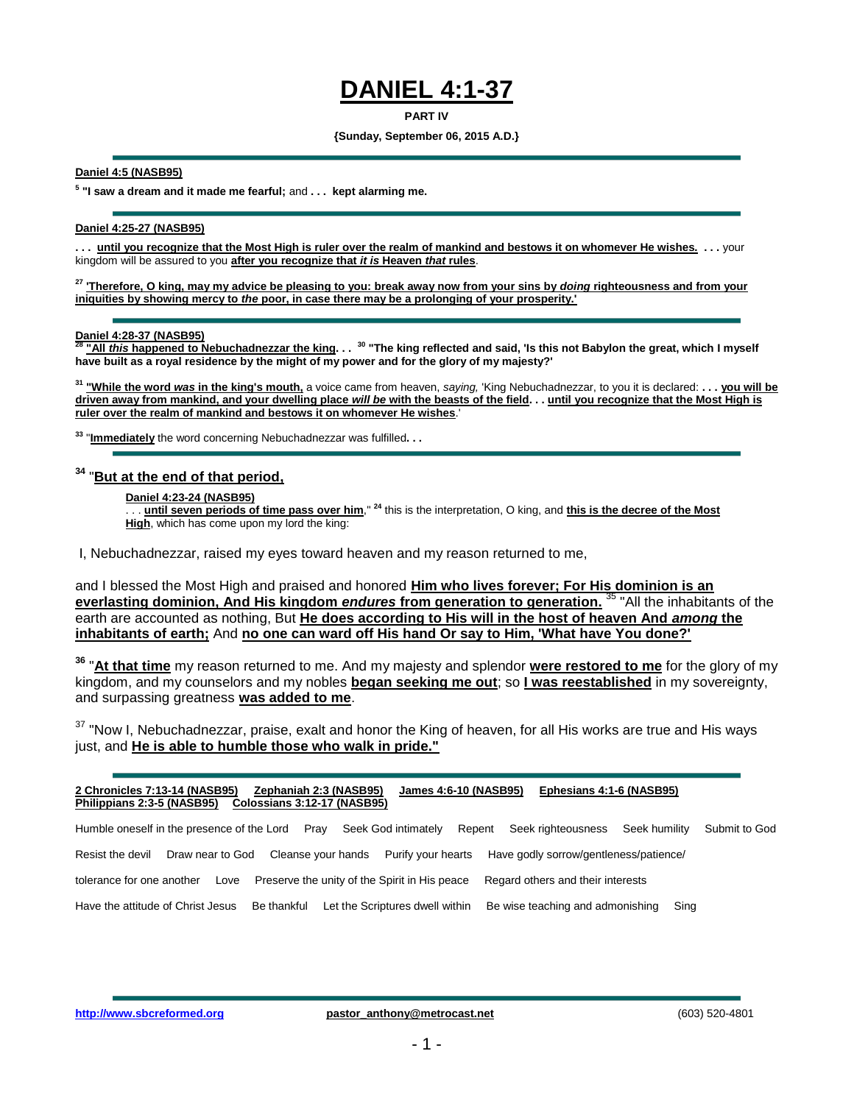# **DANIEL 4:1-37**

#### **PART IV**

#### **{Sunday, September 06, 2015 A.D.}**

#### **Daniel 4:5 (NASB95)**

**5 "I saw a dream and it made me fearful;** and **. . . kept alarming me.**

### **Daniel 4:25-27 (NASB95)**

**. . . until you recognize that the Most High is ruler over the realm of mankind and bestows it on whomever He wishes. . . .** your kingdom will be assured to you **after you recognize that** *it is* **Heaven** *that* **rules**.

**<sup>27</sup> 'Therefore, O king, may my advice be pleasing to you: break away now from your sins by** *doing* **righteousness and from your iniquities by showing mercy to** *the* **poor, in case there may be a prolonging of your prosperity.'** 

# **Daniel 4:28-37 (NASB95)**

**<sup>28</sup> "All** *this* **happened to Nebuchadnezzar the king. . . <sup>30</sup> "The king reflected and said, 'Is this not Babylon the great, which I myself have built as a royal residence by the might of my power and for the glory of my majesty?'**

**<sup>31</sup> "While the word** *was* **in the king's mouth,** a voice came from heaven, *saying,* 'King Nebuchadnezzar, to you it is declared: **. . . you will be driven away from mankind, and your dwelling place** *will be* **with the beasts of the field. . . until you recognize that the Most High is ruler over the realm of mankind and bestows it on whomever He wishes**.'

**<sup>33</sup>** "**Immediately** the word concerning Nebuchadnezzar was fulfilled**. . .**

### **<sup>34</sup>** "**But at the end of that period,**

#### **Daniel 4:23-24 (NASB95)**

. . . **until seven periods of time pass over him**," **<sup>24</sup>** this is the interpretation, O king, and **this is the decree of the Most High**, which has come upon my lord the king:

I, Nebuchadnezzar, raised my eyes toward heaven and my reason returned to me,

and I blessed the Most High and praised and honored **Him who lives forever; For His dominion is an everlasting dominion, And His kingdom** *endures* **from generation to generation.** <sup>35</sup> "All the inhabitants of the earth are accounted as nothing, But **He does according to His will in the host of heaven And** *among* **the inhabitants of earth;** And **no one can ward off His hand Or say to Him, 'What have You done?'**

**<sup>36</sup>** "**At that time** my reason returned to me. And my majesty and splendor **were restored to me** for the glory of my kingdom, and my counselors and my nobles **began seeking me out**; so **I was reestablished** in my sovereignty, and surpassing greatness **was added to me**.

<sup>37</sup> "Now I, Nebuchadnezzar, praise, exalt and honor the King of heaven, for all His works are true and His ways just, and **He is able to humble those who walk in pride."**

| 2 Chronicles 7:13-14 (NASB95)<br>Philippians 2:3-5 (NASB95)                                                                | Zephaniah 2:3 (NASB95)<br>Colossians 3:12-17 (NASB95) | Ephesians 4:1-6 (NASB95)<br>James 4:6-10 (NASB95) |                                |
|----------------------------------------------------------------------------------------------------------------------------|-------------------------------------------------------|---------------------------------------------------|--------------------------------|
| Humble oneself in the presence of the Lord                                                                                 | Seek God intimately<br>Prav                           | Repent<br>Seek righteousness                      | Seek humility<br>Submit to God |
| Have godly sorrow/gentleness/patience/<br>Purify your hearts<br>Draw near to God<br>Cleanse your hands<br>Resist the devil |                                                       |                                                   |                                |
| tolerance for one another<br>Love                                                                                          | Preserve the unity of the Spirit in His peace         | Regard others and their interests                 |                                |
| Have the attitude of Christ Jesus                                                                                          | Be thankful<br>Let the Scriptures dwell within        | Be wise teaching and admonishing                  | Sing                           |